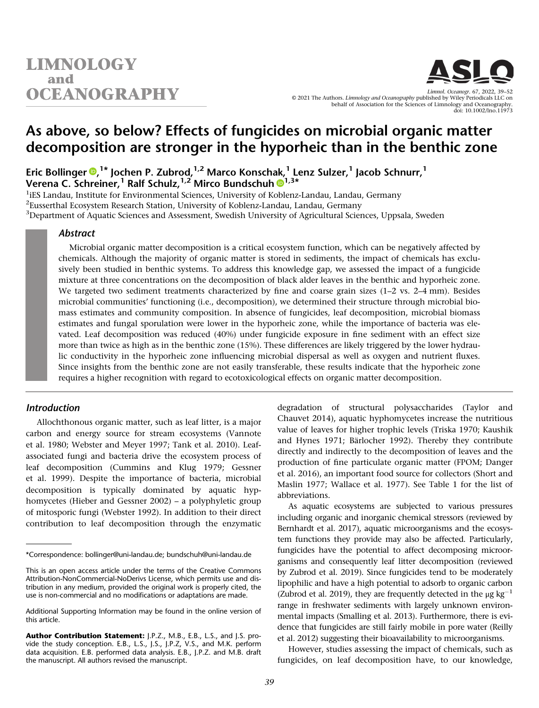

As above, so below? Effects of fungicides on microbial organic matter decomposition are stronger in the hyporheic than in the benthic zone

Eric Bollinger <sup>®[,](https://orcid.org/0000-0002-1279-9193)1\*</sup> Jochen P. Zubrod,<sup>1,2</sup> Marco Konschak,<sup>1</sup> Lenz Sulzer,<sup>1</sup> Jacob Schnurr,<sup>1</sup> Verena C. Schreiner,<sup>[1](https://orcid.org/0000-0003-4876-220X)</sup> Ralf Schulz,<sup>1,2</sup> Mirco Bundschuh ®<sup>1,3\*</sup>

<sup>1</sup>iES Landau, Institute for Environmental Sciences, University of Koblenz-Landau, Landau, Germany  $^2$ Eusserthal Ecosystem Research Station, University of Koblenz-Landau, Landau, Germany  $^3$ Department of Aquatic Sciences and Assessment, Swedish University of Agricultural Sciences, Uppsala, Sweden

# Abstract

Microbial organic matter decomposition is a critical ecosystem function, which can be negatively affected by chemicals. Although the majority of organic matter is stored in sediments, the impact of chemicals has exclusively been studied in benthic systems. To address this knowledge gap, we assessed the impact of a fungicide mixture at three concentrations on the decomposition of black alder leaves in the benthic and hyporheic zone. We targeted two sediment treatments characterized by fine and coarse grain sizes (1–2 vs. 2–4 mm). Besides microbial communities' functioning (i.e., decomposition), we determined their structure through microbial biomass estimates and community composition. In absence of fungicides, leaf decomposition, microbial biomass estimates and fungal sporulation were lower in the hyporheic zone, while the importance of bacteria was elevated. Leaf decomposition was reduced (40%) under fungicide exposure in fine sediment with an effect size more than twice as high as in the benthic zone (15%). These differences are likely triggered by the lower hydraulic conductivity in the hyporheic zone influencing microbial dispersal as well as oxygen and nutrient fluxes. Since insights from the benthic zone are not easily transferable, these results indicate that the hyporheic zone requires a higher recognition with regard to ecotoxicological effects on organic matter decomposition.

# Introduction

Allochthonous organic matter, such as leaf litter, is a major carbon and energy source for stream ecosystems (Vannote et al. 1980; Webster and Meyer 1997; Tank et al. 2010). Leafassociated fungi and bacteria drive the ecosystem process of leaf decomposition (Cummins and Klug 1979; Gessner et al. 1999). Despite the importance of bacteria, microbial decomposition is typically dominated by aquatic hyphomycetes (Hieber and Gessner 2002) – a polyphyletic group of mitosporic fungi (Webster 1992). In addition to their direct contribution to leaf decomposition through the enzymatic degradation of structural polysaccharides (Taylor and Chauvet 2014), aquatic hyphomycetes increase the nutritious value of leaves for higher trophic levels (Triska 1970; Kaushik and Hynes 1971; Bärlocher 1992). Thereby they contribute directly and indirectly to the decomposition of leaves and the production of fine particulate organic matter (FPOM; Danger et al. 2016), an important food source for collectors (Short and Maslin 1977; Wallace et al. 1977). See Table 1 for the list of abbreviations.

As aquatic ecosystems are subjected to various pressures including organic and inorganic chemical stressors (reviewed by Bernhardt et al. 2017), aquatic microorganisms and the ecosystem functions they provide may also be affected. Particularly, fungicides have the potential to affect decomposing microorganisms and consequently leaf litter decomposition (reviewed by Zubrod et al. 2019). Since fungicides tend to be moderately lipophilic and have a high potential to adsorb to organic carbon (Zubrod et al. 2019), they are frequently detected in the  $\mu$ g kg<sup>-1</sup> range in freshwater sediments with largely unknown environmental impacts (Smalling et al. 2013). Furthermore, there is evidence that fungicides are still fairly mobile in pore water (Reilly et al. 2012) suggesting their bioavailability to microorganisms.

However, studies assessing the impact of chemicals, such as fungicides, on leaf decomposition have, to our knowledge,

<sup>\*</sup>Correspondence: [bollinger@uni-landau.de;](mailto:bollinger@uni-landau.de) [bundschuh@uni-landau.de](mailto:bundschuh@uni-landau.de)

This is an open access article under the terms of the [Creative Commons](http://creativecommons.org/licenses/by-nc-nd/4.0/) [Attribution-NonCommercial-NoDerivs](http://creativecommons.org/licenses/by-nc-nd/4.0/) License, which permits use and distribution in any medium, provided the original work is properly cited, the use is non-commercial and no modifications or adaptations are made.

Additional Supporting Information may be found in the online version of this article.

Author Contribution Statement: J.P.Z., M.B., E.B., L.S., and J.S. provide the study conception. E.B., L.S., J.S., J.P.Z, V.S., and M.K. perform data acquisition. E.B. performed data analysis. E.B., J.P.Z. and M.B. draft the manuscript. All authors revised the manuscript.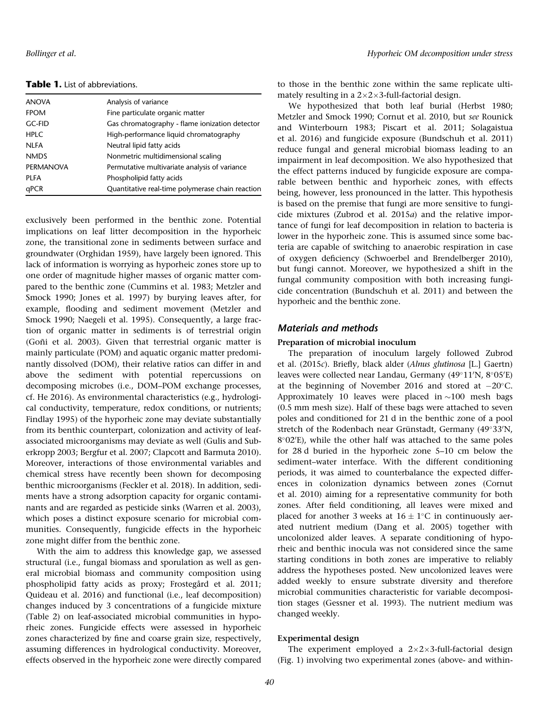| <b>ANOVA</b>     | Analysis of variance                             |
|------------------|--------------------------------------------------|
| <b>FPOM</b>      | Fine particulate organic matter                  |
| <b>GC-FID</b>    | Gas chromatography - flame ionization detector   |
| <b>HPLC</b>      | High-performance liquid chromatography           |
| <b>NLFA</b>      | Neutral lipid fatty acids                        |
| <b>NMDS</b>      | Nonmetric multidimensional scaling               |
| <b>PERMANOVA</b> | Permutative multivariate analysis of variance    |
| PLFA             | Phospholipid fatty acids                         |
| qPCR             | Quantitative real-time polymerase chain reaction |

Table 1. List of abbreviations.

exclusively been performed in the benthic zone. Potential implications on leaf litter decomposition in the hyporheic zone, the transitional zone in sediments between surface and groundwater (Orghidan 1959), have largely been ignored. This lack of information is worrying as hyporheic zones store up to one order of magnitude higher masses of organic matter compared to the benthic zone (Cummins et al. 1983; Metzler and Smock 1990; Jones et al. 1997) by burying leaves after, for example, flooding and sediment movement (Metzler and Smock 1990; Naegeli et al. 1995). Consequently, a large fraction of organic matter in sediments is of terrestrial origin (Goñi et al. 2003). Given that terrestrial organic matter is mainly particulate (POM) and aquatic organic matter predominantly dissolved (DOM), their relative ratios can differ in and above the sediment with potential repercussions on decomposing microbes (i.e., DOM–POM exchange processes, cf. He 2016). As environmental characteristics (e.g., hydrological conductivity, temperature, redox conditions, or nutrients; Findlay 1995) of the hyporheic zone may deviate substantially from its benthic counterpart, colonization and activity of leafassociated microorganisms may deviate as well (Gulis and Suberkropp 2003; Bergfur et al. 2007; Clapcott and Barmuta 2010). Moreover, interactions of those environmental variables and chemical stress have recently been shown for decomposing benthic microorganisms (Feckler et al. 2018). In addition, sediments have a strong adsorption capacity for organic contaminants and are regarded as pesticide sinks (Warren et al. 2003), which poses a distinct exposure scenario for microbial communities. Consequently, fungicide effects in the hyporheic zone might differ from the benthic zone.

With the aim to address this knowledge gap, we assessed structural (i.e., fungal biomass and sporulation as well as general microbial biomass and community composition using phospholipid fatty acids as proxy; Frostegård et al. 2011; Quideau et al. 2016) and functional (i.e., leaf decomposition) changes induced by 3 concentrations of a fungicide mixture (Table 2) on leaf-associated microbial communities in hyporheic zones. Fungicide effects were assessed in hyporheic zones characterized by fine and coarse grain size, respectively, assuming differences in hydrological conductivity. Moreover, effects observed in the hyporheic zone were directly compared to those in the benthic zone within the same replicate ultimately resulting in a  $2\times2\times3$ -full-factorial design.

We hypothesized that both leaf burial (Herbst 1980; Metzler and Smock 1990; Cornut et al. 2010, but see Rounick and Winterbourn 1983; Piscart et al. 2011; Solagaistua et al. 2016) and fungicide exposure (Bundschuh et al. 2011) reduce fungal and general microbial biomass leading to an impairment in leaf decomposition. We also hypothesized that the effect patterns induced by fungicide exposure are comparable between benthic and hyporheic zones, with effects being, however, less pronounced in the latter. This hypothesis is based on the premise that fungi are more sensitive to fungicide mixtures (Zubrod et al. 2015a) and the relative importance of fungi for leaf decomposition in relation to bacteria is lower in the hyporheic zone. This is assumed since some bacteria are capable of switching to anaerobic respiration in case of oxygen deficiency (Schwoerbel and Brendelberger 2010), but fungi cannot. Moreover, we hypothesized a shift in the fungal community composition with both increasing fungicide concentration (Bundschuh et al. 2011) and between the hyporheic and the benthic zone.

# Materials and methods

## Preparation of microbial inoculum

The preparation of inoculum largely followed Zubrod et al. (2015c). Briefly, black alder (Alnus glutinosa [L.] Gaertn) leaves were collected near Landau, Germany (49°11′N, 8°05′E) at the beginning of November 2016 and stored at  $-20^{\circ}$ C. Approximately 10 leaves were placed in  $\sim$ 100 mesh bags (0.5 mm mesh size). Half of these bags were attached to seven poles and conditioned for 21 d in the benthic zone of a pool stretch of the Rodenbach near Grünstadt, Germany (49°33′N,  $8^{\circ}02^{\prime}$ E), while the other half was attached to the same poles for 28 d buried in the hyporheic zone 5–10 cm below the sediment–water interface. With the different conditioning periods, it was aimed to counterbalance the expected differences in colonization dynamics between zones (Cornut et al. 2010) aiming for a representative community for both zones. After field conditioning, all leaves were mixed and placed for another 3 weeks at  $16 \pm 1^{\circ}$ C in continuously aerated nutrient medium (Dang et al. 2005) together with uncolonized alder leaves. A separate conditioning of hyporheic and benthic inocula was not considered since the same starting conditions in both zones are imperative to reliably address the hypotheses posted. New uncolonized leaves were added weekly to ensure substrate diversity and therefore microbial communities characteristic for variable decomposition stages (Gessner et al. 1993). The nutrient medium was changed weekly.

## Experimental design

The experiment employed a  $2\times2\times3$ -full-factorial design (Fig. 1) involving two experimental zones (above- and within-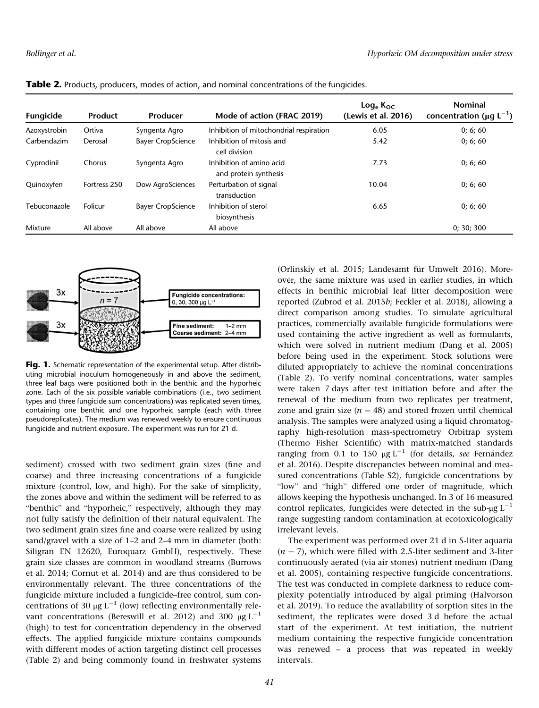| Fungicide    | <b>Product</b> | Producer                 | Mode of action (FRAC 2019)                        | $\textsf{Log}_{\textsf{e}}\,\textsf{K}_{\textsf{OC}}$<br>(Lewis et al. 2016) | <b>Nominal</b><br>concentration ( $\mu$ g L <sup>-1</sup> ) |
|--------------|----------------|--------------------------|---------------------------------------------------|------------------------------------------------------------------------------|-------------------------------------------------------------|
| Azoxystrobin | Ortiva         | Syngenta Agro            | Inhibition of mitochondrial respiration           | 6.05                                                                         | 0; 6; 60                                                    |
| Carbendazim  | Derosal        | <b>Bayer CropScience</b> | Inhibition of mitosis and<br>cell division        | 5.42                                                                         | 0; 6; 60                                                    |
| Cyprodinil   | Chorus         | Syngenta Agro            | Inhibition of amino acid<br>and protein synthesis | 7.73                                                                         | 0; 6; 60                                                    |
| Quinoxyfen   | Fortress 250   | Dow AgroSciences         | Perturbation of signal<br>transduction            | 10.04                                                                        | 0; 6; 60                                                    |
| Tebuconazole | Folicur        | <b>Bayer CropScience</b> | Inhibition of sterol<br>biosynthesis              | 6.65                                                                         | 0; 6; 60                                                    |
| Mixture      | All above      | All above                | All above                                         |                                                                              | 0; 30; 300                                                  |

**Table 2.** Products, producers, modes of action, and nominal concentrations of the fungicides.



Fig. 1. Schematic representation of the experimental setup. After distributing microbial inoculum homogeneously in and above the sediment, three leaf bags were positioned both in the benthic and the hyporheic zone. Each of the six possible variable combinations (i.e., two sediment types and three fungicide sum concentrations) was replicated seven times, containing one benthic and one hyporheic sample (each with three pseudoreplicates). The medium was renewed weekly to ensure continuous fungicide and nutrient exposure. The experiment was run for 21 d.

sediment) crossed with two sediment grain sizes (fine and coarse) and three increasing concentrations of a fungicide mixture (control, low, and high). For the sake of simplicity, the zones above and within the sediment will be referred to as "benthic" and "hyporheic," respectively, although they may not fully satisfy the definition of their natural equivalent. The two sediment grain sizes fine and coarse were realized by using sand/gravel with a size of 1–2 and 2–4 mm in diameter (both: Siligran EN 12620, Euroquarz GmbH), respectively. These grain size classes are common in woodland streams (Burrows et al. 2014; Cornut et al. 2014) and are thus considered to be environmentally relevant. The three concentrations of the fungicide mixture included a fungicide–free control, sum concentrations of 30 μg  $L^{-1}$  (low) reflecting environmentally relevant concentrations (Bereswill et al. 2012) and 300  $\mu$ g L<sup>-1</sup> (high) to test for concentration dependency in the observed effects. The applied fungicide mixture contains compounds with different modes of action targeting distinct cell processes (Table 2) and being commonly found in freshwater systems

(Orlinskiy et al. 2015; Landesamt für Umwelt 2016). Moreover, the same mixture was used in earlier studies, in which effects in benthic microbial leaf litter decomposition were reported (Zubrod et al. 2015b; Feckler et al. 2018), allowing a direct comparison among studies. To simulate agricultural practices, commercially available fungicide formulations were used containing the active ingredient as well as formulants, which were solved in nutrient medium (Dang et al. 2005) before being used in the experiment. Stock solutions were diluted appropriately to achieve the nominal concentrations (Table 2). To verify nominal concentrations, water samples were taken 7 days after test initiation before and after the renewal of the medium from two replicates per treatment, zone and grain size ( $n = 48$ ) and stored frozen until chemical analysis. The samples were analyzed using a liquid chromatography high-resolution mass-spectrometry Orbitrap system (Thermo Fisher Scientific) with matrix-matched standards ranging from 0.1 to 150  $\mu$ g L<sup>-1</sup> (for details, see Fernández et al. 2016). Despite discrepancies between nominal and measured concentrations (Table S2), fungicide concentrations by "low" and "high" differed one order of magnitude, which allows keeping the hypothesis unchanged. In 3 of 16 measured control replicates, fungicides were detected in the sub- $\mu$ g L<sup>-1</sup> range suggesting random contamination at ecotoxicologically irrelevant levels.

The experiment was performed over 21 d in 5-liter aquaria  $(n = 7)$ , which were filled with 2.5-liter sediment and 3-liter continuously aerated (via air stones) nutrient medium (Dang et al. 2005), containing respective fungicide concentrations. The test was conducted in complete darkness to reduce complexity potentially introduced by algal priming (Halvorson et al. 2019). To reduce the availability of sorption sites in the sediment, the replicates were dosed 3 d before the actual start of the experiment. At test initiation, the nutrient medium containing the respective fungicide concentration was renewed – a process that was repeated in weekly intervals.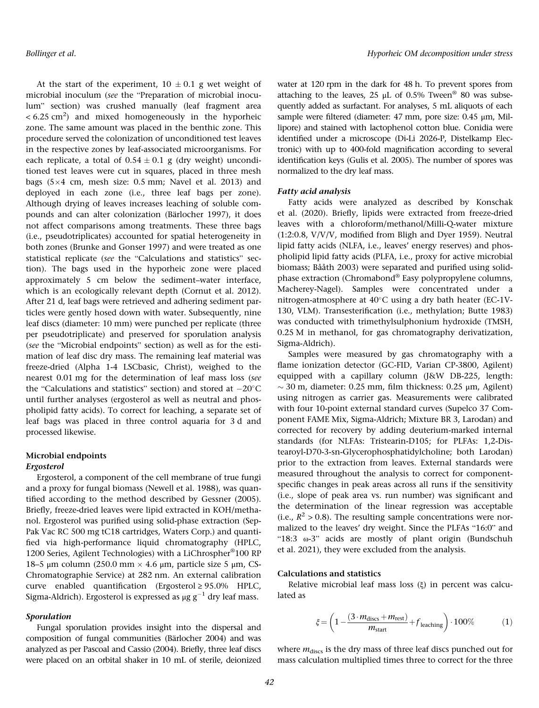At the start of the experiment,  $10 \pm 0.1$  g wet weight of microbial inoculum (see the "Preparation of microbial inoculum" section) was crushed manually (leaf fragment area  $<$  6.25 cm<sup>2</sup>) and mixed homogeneously in the hyporheic zone. The same amount was placed in the benthic zone. This procedure served the colonization of unconditioned test leaves in the respective zones by leaf-associated microorganisms. For each replicate, a total of  $0.54 \pm 0.1$  g (dry weight) unconditioned test leaves were cut in squares, placed in three mesh bags  $(5\times4$  cm, mesh size: 0.5 mm; Navel et al. 2013) and deployed in each zone (i.e., three leaf bags per zone). Although drying of leaves increases leaching of soluble compounds and can alter colonization (Bärlocher 1997), it does not affect comparisons among treatments. These three bags (i.e., pseudotriplicates) accounted for spatial heterogeneity in both zones (Brunke and Gonser 1997) and were treated as one statistical replicate (see the "Calculations and statistics" section). The bags used in the hyporheic zone were placed approximately 5 cm below the sediment–water interface, which is an ecologically relevant depth (Cornut et al. 2012). After 21 d, leaf bags were retrieved and adhering sediment particles were gently hosed down with water. Subsequently, nine leaf discs (diameter: 10 mm) were punched per replicate (three per pseudotriplicate) and preserved for sporulation analysis (see the "Microbial endpoints" section) as well as for the estimation of leaf disc dry mass. The remaining leaf material was freeze-dried (Alpha 1-4 LSCbasic, Christ), weighed to the nearest 0.01 mg for the determination of leaf mass loss (see the "Calculations and statistics" section) and stored at  $-20^{\circ}$ C until further analyses (ergosterol as well as neutral and phospholipid fatty acids). To correct for leaching, a separate set of leaf bags was placed in three control aquaria for 3 d and processed likewise.

# Microbial endpoints Ergosterol

Ergosterol, a component of the cell membrane of true fungi and a proxy for fungal biomass (Newell et al. 1988), was quantified according to the method described by Gessner (2005). Briefly, freeze-dried leaves were lipid extracted in KOH/methanol. Ergosterol was purified using solid-phase extraction (Sep-Pak Vac RC 500 mg tC18 cartridges, Waters Corp.) and quantified via high-performance liquid chromatography (HPLC, 1200 Series, Agilent Technologies) with a LiChrospher®100 RP 18–5 μm column (250.0 mm  $\times$  4.6 μm, particle size 5 μm, CS-Chromatographie Service) at 282 nm. An external calibration curve enabled quantification (Ergosterol ≥ 95.0% HPLC, Sigma-Aldrich). Ergosterol is expressed as  $\mu$ g g<sup>-1</sup> dry leaf mass.

## Sporulation

Fungal sporulation provides insight into the dispersal and composition of fungal communities (Bärlocher 2004) and was analyzed as per Pascoal and Cassio (2004). Briefly, three leaf discs were placed on an orbital shaker in 10 mL of sterile, deionized water at 120 rpm in the dark for 48 h. To prevent spores from attaching to the leaves, 25  $\mu$ L of 0.5% Tween<sup>®</sup> 80 was subsequently added as surfactant. For analyses, 5 mL aliquots of each sample were filtered (diameter: 47 mm, pore size: 0.45 μm, Millipore) and stained with lactophenol cotton blue. Conidia were identified under a microscope (Di-Li 2026-P, Distelkamp Electronic) with up to 400-fold magnification according to several identification keys (Gulis et al. 2005). The number of spores was normalized to the dry leaf mass.

#### Fatty acid analysis

Fatty acids were analyzed as described by Konschak et al. (2020). Briefly, lipids were extracted from freeze-dried leaves with a chloroform/methanol/Milli-Q-water mixture (1:2:0.8, V/V/V, modified from Bligh and Dyer 1959). Neutral lipid fatty acids (NLFA, i.e., leaves' energy reserves) and phospholipid lipid fatty acids (PLFA, i.e., proxy for active microbial biomass; Bååth 2003) were separated and purified using solidphase extraction (Chromabond® Easy polypropylene columns, Macherey-Nagel). Samples were concentrated under a nitrogen-atmosphere at  $40^{\circ}$ C using a dry bath heater (EC-1V-130, VLM). Transesterification (i.e., methylation; Butte 1983) was conducted with trimethylsulphonium hydroxide (TMSH, 0.25 M in methanol, for gas chromatography derivatization, Sigma-Aldrich).

Samples were measured by gas chromatography with a flame ionization detector (GC-FID, Varian CP-3800, Agilent) equipped with a capillary column (J&W DB-225, length:  $\sim$  30 m, diameter: 0.25 mm, film thickness: 0.25  $\mu$ m, Agilent) using nitrogen as carrier gas. Measurements were calibrated with four 10-point external standard curves (Supelco 37 Component FAME Mix, Sigma-Aldrich; Mixture BR 3, Larodan) and corrected for recovery by adding deuterium-marked internal standards (for NLFAs: Tristearin-D105; for PLFAs: 1,2-Distearoyl-D70-3-sn-Glycerophosphatidylcholine; both Larodan) prior to the extraction from leaves. External standards were measured throughout the analysis to correct for componentspecific changes in peak areas across all runs if the sensitivity (i.e., slope of peak area vs. run number) was significant and the determination of the linear regression was acceptable (i.e.,  $R^2 > 0.8$ ). The resulting sample concentrations were normalized to the leaves' dry weight. Since the PLFAs "16:0" and "18:3 ω-3" acids are mostly of plant origin (Bundschuh et al. 2021), they were excluded from the analysis.

## Calculations and statistics

Relative microbial leaf mass loss (ξ) in percent was calculated as

$$
\xi = \left(1 - \frac{(3 \cdot m_{\text{discs}} + m_{\text{rest}})}{m_{\text{start}}} + f_{\text{leaching}}\right) \cdot 100\% \tag{1}
$$

where  $m_{\text{discs}}$  is the dry mass of three leaf discs punched out for mass calculation multiplied times three to correct for the three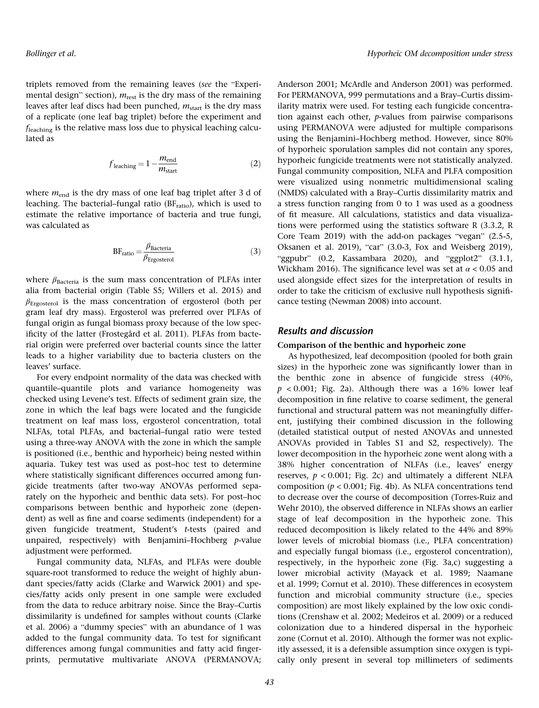triplets removed from the remaining leaves (see the "Experimental design" section),  $m_{\text{rest}}$  is the dry mass of the remaining leaves after leaf discs had been punched,  $m_{\text{start}}$  is the dry mass of a replicate (one leaf bag triplet) before the experiment and fleaching is the relative mass loss due to physical leaching calculated as

$$
f_{\text{leaching}} = 1 - \frac{m_{\text{end}}}{m_{\text{start}}}
$$
 (2)

where  $m_{\text{end}}$  is the dry mass of one leaf bag triplet after 3 d of leaching. The bacterial–fungal ratio  $(BF<sub>ratio</sub>)$ , which is used to estimate the relative importance of bacteria and true fungi, was calculated as

$$
BF_{ratio} = \frac{\beta_{Bacteria}}{\beta_{Ergosterol}}
$$
 (3)

where  $\beta_{\text{Bacteria}}$  is the sum mass concentration of PLFAs inter alia from bacterial origin (Table S5; Willers et al. 2015) and  $\beta_{\text{Ergosterol}}$  is the mass concentration of ergosterol (both per gram leaf dry mass). Ergosterol was preferred over PLFAs of fungal origin as fungal biomass proxy because of the low specificity of the latter (Frostegård et al. 2011). PLFAs from bacterial origin were preferred over bacterial counts since the latter leads to a higher variability due to bacteria clusters on the leaves' surface.

For every endpoint normality of the data was checked with quantile–quantile plots and variance homogeneity was checked using Levene's test. Effects of sediment grain size, the zone in which the leaf bags were located and the fungicide treatment on leaf mass loss, ergosterol concentration, total NLFAs, total PLFAs, and bacterial–fungal ratio were tested using a three-way ANOVA with the zone in which the sample is positioned (i.e., benthic and hyporheic) being nested within aquaria. Tukey test was used as post–hoc test to determine where statistically significant differences occurred among fungicide treatments (after two-way ANOVAs performed separately on the hyporheic and benthic data sets). For post–hoc comparisons between benthic and hyporheic zone (dependent) as well as fine and coarse sediments (independent) for a given fungicide treatment, Student's t-tests (paired and unpaired, respectively) with Benjamini-Hochberg  $p$ -value adjustment were performed.

Fungal community data, NLFAs, and PLFAs were double square-root transformed to reduce the weight of highly abundant species/fatty acids (Clarke and Warwick 2001) and species/fatty acids only present in one sample were excluded from the data to reduce arbitrary noise. Since the Bray–Curtis dissimilarity is undefined for samples without counts (Clarke et al. 2006) a "dummy species" with an abundance of 1 was added to the fungal community data. To test for significant differences among fungal communities and fatty acid fingerprints, permutative multivariate ANOVA (PERMANOVA;

Anderson 2001; McArdle and Anderson 2001) was performed. For PERMANOVA, 999 permutations and a Bray–Curtis dissimilarity matrix were used. For testing each fungicide concentration against each other, p-values from pairwise comparisons using PERMANOVA were adjusted for multiple comparisons using the Benjamini–Hochberg method. However, since 80% of hyporheic sporulation samples did not contain any spores, hyporheic fungicide treatments were not statistically analyzed. Fungal community composition, NLFA and PLFA composition were visualized using nonmetric multidimensional scaling (NMDS) calculated with a Bray–Curtis dissimilarity matrix and a stress function ranging from 0 to 1 was used as a goodness of fit measure. All calculations, statistics and data visualizations were performed using the statistics software R (3.3.2, R Core Team 2019) with the add-on packages "vegan" (2.5-5, Oksanen et al. 2019), "car" (3.0-3, Fox and Weisberg 2019), "ggpubr" (0.2, Kassambara 2020), and "ggplot2" (3.1.1, Wickham 2016). The significance level was set at  $\alpha$  < 0.05 and used alongside effect sizes for the interpretation of results in order to take the criticism of exclusive null hypothesis significance testing (Newman 2008) into account.

# Results and discussion

#### Comparison of the benthic and hyporheic zone

As hypothesized, leaf decomposition (pooled for both grain sizes) in the hyporheic zone was significantly lower than in the benthic zone in absence of fungicide stress (40%,  $p < 0.001$ ; Fig. 2a). Although there was a 16% lower leaf decomposition in fine relative to coarse sediment, the general functional and structural pattern was not meaningfully different, justifying their combined discussion in the following (detailed statistical output of nested ANOVAs and unnested ANOVAs provided in Tables S1 and S2, respectively). The lower decomposition in the hyporheic zone went along with a 38% higher concentration of NLFAs (i.e., leaves' energy reserves,  $p < 0.001$ ; Fig. 2c) and ultimately a different NLFA composition ( $p < 0.001$ ; Fig. 4b). As NLFA concentrations tend to decrease over the course of decomposition (Torres-Ruiz and Wehr 2010), the observed difference in NLFAs shows an earlier stage of leaf decomposition in the hyporheic zone. This reduced decomposition is likely related to the 44% and 89% lower levels of microbial biomass (i.e., PLFA concentration) and especially fungal biomass (i.e., ergosterol concentration), respectively, in the hyporheic zone (Fig. 3a,c) suggesting a lower microbial activity (Mayack et al. 1989; Naamane et al. 1999; Cornut et al. 2010). These differences in ecosystem function and microbial community structure (i.e., species composition) are most likely explained by the low oxic conditions (Crenshaw et al. 2002; Medeiros et al. 2009) or a reduced colonization due to a hindered dispersal in the hyporheic zone (Cornut et al. 2010). Although the former was not explicitly assessed, it is a defensible assumption since oxygen is typically only present in several top millimeters of sediments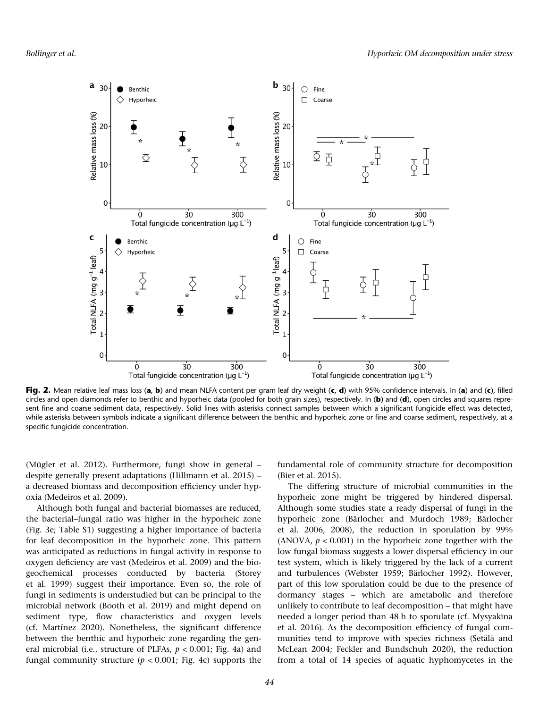

Fig. 2. Mean relative leaf mass loss (a, b) and mean NLFA content per gram leaf dry weight (c, d) with 95% confidence intervals. In (a) and (c), filled circles and open diamonds refer to benthic and hyporheic data (pooled for both grain sizes), respectively. In (b) and (d), open circles and squares represent fine and coarse sediment data, respectively. Solid lines with asterisks connect samples between which a significant fungicide effect was detected, while asterisks between symbols indicate a significant difference between the benthic and hyporheic zone or fine and coarse sediment, respectively, at a specific fungicide concentration.

(Mügler et al. 2012). Furthermore, fungi show in general – despite generally present adaptations (Hillmann et al. 2015) – a decreased biomass and decomposition efficiency under hypoxia (Medeiros et al. 2009).

Although both fungal and bacterial biomasses are reduced, the bacterial–fungal ratio was higher in the hyporheic zone (Fig. 3e; Table S1) suggesting a higher importance of bacteria for leaf decomposition in the hyporheic zone. This pattern was anticipated as reductions in fungal activity in response to oxygen deficiency are vast (Medeiros et al. 2009) and the biogeochemical processes conducted by bacteria (Storey et al. 1999) suggest their importance. Even so, the role of fungi in sediments is understudied but can be principal to the microbial network (Booth et al. 2019) and might depend on sediment type, flow characteristics and oxygen levels (cf. Martínez 2020). Nonetheless, the significant difference between the benthic and hyporheic zone regarding the general microbial (i.e., structure of PLFAs,  $p < 0.001$ ; Fig. 4a) and fungal community structure ( $p < 0.001$ ; Fig. 4c) supports the fundamental role of community structure for decomposition (Bier et al. 2015).

The differing structure of microbial communities in the hyporheic zone might be triggered by hindered dispersal. Although some studies state a ready dispersal of fungi in the hyporheic zone (Bärlocher and Murdoch 1989; Bärlocher et al. 2006, 2008), the reduction in sporulation by 99% (ANOVA,  $p < 0.001$ ) in the hyporheic zone together with the low fungal biomass suggests a lower dispersal efficiency in our test system, which is likely triggered by the lack of a current and turbulences (Webster 1959; Bärlocher 1992). However, part of this low sporulation could be due to the presence of dormancy stages – which are ametabolic and therefore unlikely to contribute to leaf decomposition – that might have needed a longer period than 48 h to sporulate (cf. Mysyakina et al. 2016). As the decomposition efficiency of fungal communities tend to improve with species richness (Setälä and McLean 2004; Feckler and Bundschuh 2020), the reduction from a total of 14 species of aquatic hyphomycetes in the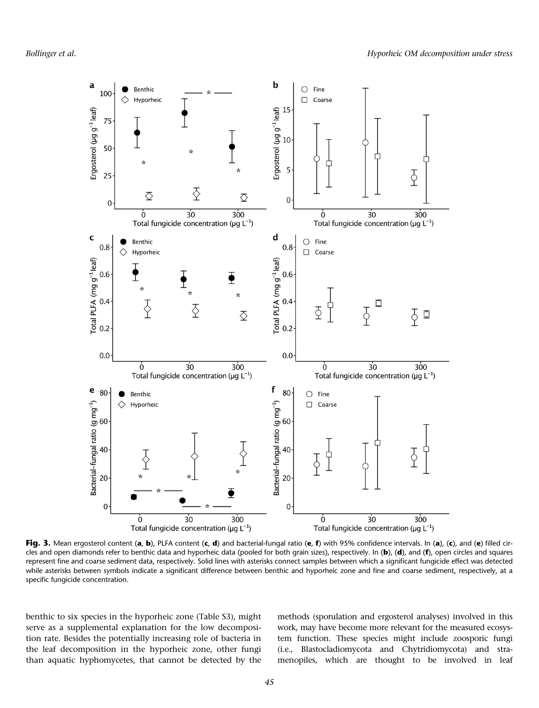

Fig. 3. Mean ergosterol content (a, b), PLFA content (c, d) and bacterial-fungal ratio (e, f) with 95% confidence intervals. In (a), (c), and (e) filled circles and open diamonds refer to benthic data and hyporheic data (pooled for both grain sizes), respectively. In (b), (d), and (f), open circles and squares represent fine and coarse sediment data, respectively. Solid lines with asterisks connect samples between which a significant fungicide effect was detected while asterisks between symbols indicate a significant difference between benthic and hyporheic zone and fine and coarse sediment, respectively, at a specific fungicide concentration.

benthic to six species in the hyporheic zone (Table S3), might serve as a supplemental explanation for the low decomposition rate. Besides the potentially increasing role of bacteria in the leaf decomposition in the hyporheic zone, other fungi than aquatic hyphomycetes, that cannot be detected by the methods (sporulation and ergosterol analyses) involved in this work, may have become more relevant for the measured ecosystem function. These species might include zoosporic fungi (i.e., Blastocladiomycota and Chytridiomycota) and stramenopiles, which are thought to be involved in leaf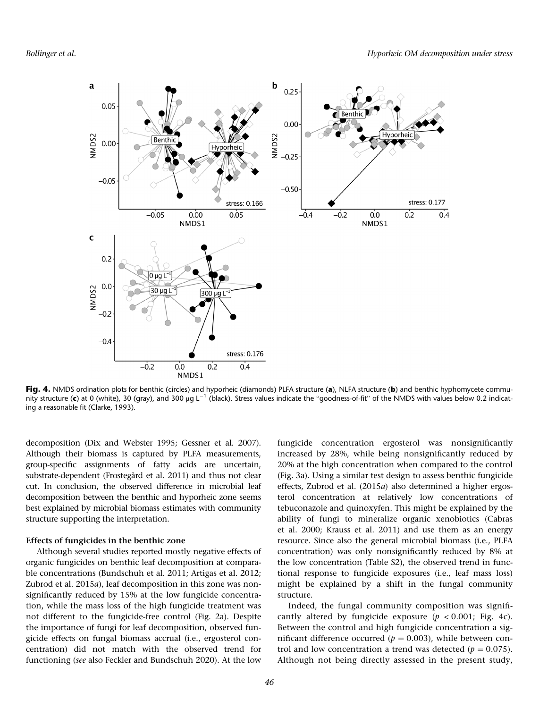

Fig. 4. NMDS ordination plots for benthic (circles) and hyporheic (diamonds) PLFA structure (a), NLFA structure (b) and benthic hyphomycete community structure (c) at 0 (white), 30 (gray), and 300 μg L<sup>-1</sup> (black). Stress values indicate the "goodness-of-fit" of the NMDS with values below 0.2 indicating a reasonable fit (Clarke, 1993).

decomposition (Dix and Webster 1995; Gessner et al. 2007). Although their biomass is captured by PLFA measurements, group-specific assignments of fatty acids are uncertain, substrate-dependent (Frostegård et al. 2011) and thus not clear cut. In conclusion, the observed difference in microbial leaf decomposition between the benthic and hyporheic zone seems best explained by microbial biomass estimates with community structure supporting the interpretation.

## Effects of fungicides in the benthic zone

Although several studies reported mostly negative effects of organic fungicides on benthic leaf decomposition at comparable concentrations (Bundschuh et al. 2011; Artigas et al. 2012; Zubrod et al. 2015a), leaf decomposition in this zone was nonsignificantly reduced by 15% at the low fungicide concentration, while the mass loss of the high fungicide treatment was not different to the fungicide-free control (Fig. 2a). Despite the importance of fungi for leaf decomposition, observed fungicide effects on fungal biomass accrual (i.e., ergosterol concentration) did not match with the observed trend for functioning (see also Feckler and Bundschuh 2020). At the low

fungicide concentration ergosterol was nonsignificantly increased by 28%, while being nonsignificantly reduced by 20% at the high concentration when compared to the control (Fig. 3a). Using a similar test design to assess benthic fungicide effects, Zubrod et al. (2015a) also determined a higher ergosterol concentration at relatively low concentrations of tebuconazole and quinoxyfen. This might be explained by the ability of fungi to mineralize organic xenobiotics (Cabras et al. 2000; Krauss et al. 2011) and use them as an energy resource. Since also the general microbial biomass (i.e., PLFA concentration) was only nonsignificantly reduced by 8% at the low concentration (Table S2), the observed trend in functional response to fungicide exposures (i.e., leaf mass loss) might be explained by a shift in the fungal community structure.

Indeed, the fungal community composition was significantly altered by fungicide exposure ( $p < 0.001$ ; Fig. 4c). Between the control and high fungicide concentration a significant difference occurred ( $p = 0.003$ ), while between control and low concentration a trend was detected ( $p = 0.075$ ). Although not being directly assessed in the present study,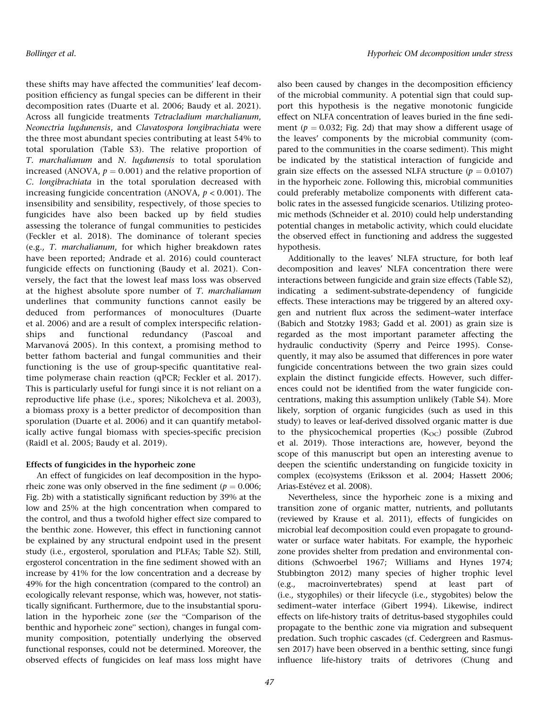these shifts may have affected the communities' leaf decomposition efficiency as fungal species can be different in their decomposition rates (Duarte et al. 2006; Baudy et al. 2021). Across all fungicide treatments Tetracladium marchalianum, Neonectria lugdunensis, and Clavatospora longibrachiata were the three most abundant species contributing at least 54% to total sporulation (Table S3). The relative proportion of T. marchalianum and N. lugdunensis to total sporulation increased (ANOVA,  $p = 0.001$ ) and the relative proportion of C. longibrachiata in the total sporulation decreased with increasing fungicide concentration (ANOVA,  $p < 0.001$ ). The insensibility and sensibility, respectively, of those species to fungicides have also been backed up by field studies assessing the tolerance of fungal communities to pesticides (Feckler et al. 2018). The dominance of tolerant species (e.g., T. marchalianum, for which higher breakdown rates have been reported; Andrade et al. 2016) could counteract fungicide effects on functioning (Baudy et al. 2021). Conversely, the fact that the lowest leaf mass loss was observed at the highest absolute spore number of T. marchalianum underlines that community functions cannot easily be deduced from performances of monocultures (Duarte et al. 2006) and are a result of complex interspecific relationships and functional redundancy (Pascoal and Marvanová 2005). In this context, a promising method to better fathom bacterial and fungal communities and their functioning is the use of group-specific quantitative realtime polymerase chain reaction (qPCR; Feckler et al. 2017). This is particularly useful for fungi since it is not reliant on a reproductive life phase (i.e., spores; Nikolcheva et al. 2003), a biomass proxy is a better predictor of decomposition than sporulation (Duarte et al. 2006) and it can quantify metabolically active fungal biomass with species-specific precision (Raidl et al. 2005; Baudy et al. 2019).

### Effects of fungicides in the hyporheic zone

An effect of fungicides on leaf decomposition in the hyporheic zone was only observed in the fine sediment ( $p = 0.006$ ; Fig. 2b) with a statistically significant reduction by 39% at the low and 25% at the high concentration when compared to the control, and thus a twofold higher effect size compared to the benthic zone. However, this effect in functioning cannot be explained by any structural endpoint used in the present study (i.e., ergosterol, sporulation and PLFAs; Table S2). Still, ergosterol concentration in the fine sediment showed with an increase by 41% for the low concentration and a decrease by 49% for the high concentration (compared to the control) an ecologically relevant response, which was, however, not statistically significant. Furthermore, due to the insubstantial sporulation in the hyporheic zone (see the "Comparison of the benthic and hyporheic zone" section), changes in fungal community composition, potentially underlying the observed functional responses, could not be determined. Moreover, the observed effects of fungicides on leaf mass loss might have

also been caused by changes in the decomposition efficiency of the microbial community. A potential sign that could support this hypothesis is the negative monotonic fungicide effect on NLFA concentration of leaves buried in the fine sediment ( $p = 0.032$ ; Fig. 2d) that may show a different usage of the leaves' components by the microbial community (compared to the communities in the coarse sediment). This might be indicated by the statistical interaction of fungicide and grain size effects on the assessed NLFA structure ( $p = 0.0107$ ) in the hyporheic zone. Following this, microbial communities could preferably metabolize components with different catabolic rates in the assessed fungicide scenarios. Utilizing proteomic methods (Schneider et al. 2010) could help understanding potential changes in metabolic activity, which could elucidate the observed effect in functioning and address the suggested hypothesis.

Additionally to the leaves' NLFA structure, for both leaf decomposition and leaves' NLFA concentration there were interactions between fungicide and grain size effects (Table S2), indicating a sediment-substrate-dependency of fungicide effects. These interactions may be triggered by an altered oxygen and nutrient flux across the sediment–water interface (Babich and Stotzky 1983; Gadd et al. 2001) as grain size is regarded as the most important parameter affecting the hydraulic conductivity (Sperry and Peirce 1995). Consequently, it may also be assumed that differences in pore water fungicide concentrations between the two grain sizes could explain the distinct fungicide effects. However, such differences could not be identified from the water fungicide concentrations, making this assumption unlikely (Table S4). More likely, sorption of organic fungicides (such as used in this study) to leaves or leaf-derived dissolved organic matter is due to the physicochemical properties  $(K<sub>OC</sub>)$  possible (Zubrod et al. 2019). Those interactions are, however, beyond the scope of this manuscript but open an interesting avenue to deepen the scientific understanding on fungicide toxicity in complex (eco)systems (Eriksson et al. 2004; Hassett 2006; Arias-Estévez et al. 2008).

Nevertheless, since the hyporheic zone is a mixing and transition zone of organic matter, nutrients, and pollutants (reviewed by Krause et al. 2011), effects of fungicides on microbial leaf decomposition could even propagate to groundwater or surface water habitats. For example, the hyporheic zone provides shelter from predation and environmental conditions (Schwoerbel 1967; Williams and Hynes 1974; Stubbington 2012) many species of higher trophic level (e.g., macroinvertebrates) spend at least part of (i.e., stygophiles) or their lifecycle (i.e., stygobites) below the sediment–water interface (Gibert 1994). Likewise, indirect effects on life-history traits of detritus-based stygophiles could propagate to the benthic zone via migration and subsequent predation. Such trophic cascades (cf. Cedergreen and Rasmussen 2017) have been observed in a benthic setting, since fungi influence life-history traits of detrivores (Chung and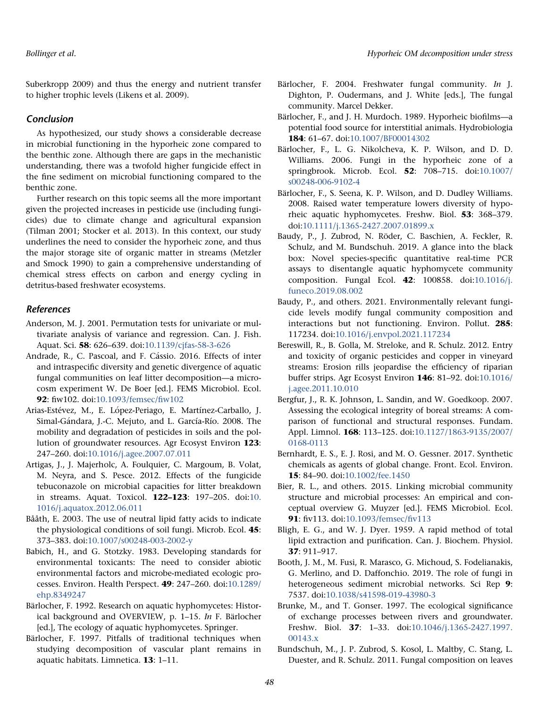Suberkropp 2009) and thus the energy and nutrient transfer to higher trophic levels (Likens et al. 2009).

# Conclusion

As hypothesized, our study shows a considerable decrease in microbial functioning in the hyporheic zone compared to the benthic zone. Although there are gaps in the mechanistic understanding, there was a twofold higher fungicide effect in the fine sediment on microbial functioning compared to the benthic zone.

Further research on this topic seems all the more important given the projected increases in pesticide use (including fungicides) due to climate change and agricultural expansion (Tilman 2001; Stocker et al. 2013). In this context, our study underlines the need to consider the hyporheic zone, and thus the major storage site of organic matter in streams (Metzler and Smock 1990) to gain a comprehensive understanding of chemical stress effects on carbon and energy cycling in detritus-based freshwater ecosystems.

# References

- Anderson, M. J. 2001. Permutation tests for univariate or multivariate analysis of variance and regression. Can. J. Fish. Aquat. Sci. 58: 626–639. doi:[10.1139/cjfas-58-3-626](https://doi.org/10.1139/cjfas-58-3-626)
- Andrade, R., C. Pascoal, and F. Cássio. 2016. Effects of inter and intraspecific diversity and genetic divergence of aquatic fungal communities on leaf litter decomposition—a microcosm experiment W. De Boer [ed.]. FEMS Microbiol. Ecol. 92: fiw102. doi[:10.1093/femsec/](https://doi.org/10.1093/femsec/fiw102)fiw102
- Arias-Estévez, M., E. López-Periago, E. Martínez-Carballo, J. Simal-Gándara, J.-C. Mejuto, and L. García-Río. 2008. The mobility and degradation of pesticides in soils and the pollution of groundwater resources. Agr Ecosyst Environ 123: 247–260. doi[:10.1016/j.agee.2007.07.011](https://doi.org/10.1016/j.agee.2007.07.011)
- Artigas, J., J. Majerholc, A. Foulquier, C. Margoum, B. Volat, M. Neyra, and S. Pesce. 2012. Effects of the fungicide tebuconazole on microbial capacities for litter breakdown in streams. Aquat. Toxicol. 122–123: 197–205. doi:[10.](https://doi.org/10.1016/j.aquatox.2012.06.011) [1016/j.aquatox.2012.06.011](https://doi.org/10.1016/j.aquatox.2012.06.011)
- Bååth, E. 2003. The use of neutral lipid fatty acids to indicate the physiological conditions of soil fungi. Microb. Ecol. 45: 373–383. doi[:10.1007/s00248-003-2002-y](https://doi.org/10.1007/s00248-003-2002-y)
- Babich, H., and G. Stotzky. 1983. Developing standards for environmental toxicants: The need to consider abiotic environmental factors and microbe-mediated ecologic processes. Environ. Health Perspect. 49: 247–260. doi:[10.1289/](https://doi.org/10.1289/ehp.8349247) [ehp.8349247](https://doi.org/10.1289/ehp.8349247)
- Bärlocher, F. 1992. Research on aquatic hyphomycetes: Historical background and OVERVIEW, p. 1–15. In F. Bärlocher [ed.], The ecology of aquatic hyphomycetes. Springer.
- Bärlocher, F. 1997. Pitfalls of traditional techniques when studying decomposition of vascular plant remains in aquatic habitats. Limnetica. 13: 1–11.
- Bärlocher, F. 2004. Freshwater fungal community. In J. Dighton, P. Oudermans, and J. White [eds.], The fungal community. Marcel Dekker.
- Bärlocher, F., and J. H. Murdoch. 1989. Hyporheic biofilms—a potential food source for interstitial animals. Hydrobiologia 184: 61–67. doi:[10.1007/BF00014302](https://doi.org/10.1007/BF00014302)
- Bärlocher, F., L. G. Nikolcheva, K. P. Wilson, and D. D. Williams. 2006. Fungi in the hyporheic zone of a springbrook. Microb. Ecol. 52: 708–715. doi:[10.1007/](https://doi.org/10.1007/s00248-006-9102-4) [s00248-006-9102-4](https://doi.org/10.1007/s00248-006-9102-4)
- Bärlocher, F., S. Seena, K. P. Wilson, and D. Dudley Williams. 2008. Raised water temperature lowers diversity of hyporheic aquatic hyphomycetes. Freshw. Biol. 53: 368–379. doi[:10.1111/j.1365-2427.2007.01899.x](https://doi.org/10.1111/j.1365-2427.2007.01899.x)
- Baudy, P., J. Zubrod, N. Röder, C. Baschien, A. Feckler, R. Schulz, and M. Bundschuh. 2019. A glance into the black box: Novel species-specific quantitative real-time PCR assays to disentangle aquatic hyphomycete community composition. Fungal Ecol. 42: 100858. doi[:10.1016/j.](https://doi.org/10.1016/j.funeco.2019.08.002) [funeco.2019.08.002](https://doi.org/10.1016/j.funeco.2019.08.002)
- Baudy, P., and others. 2021. Environmentally relevant fungicide levels modify fungal community composition and interactions but not functioning. Environ. Pollut. 285: 117234. doi[:10.1016/j.envpol.2021.117234](https://doi.org/10.1016/j.envpol.2021.117234)
- Bereswill, R., B. Golla, M. Streloke, and R. Schulz. 2012. Entry and toxicity of organic pesticides and copper in vineyard streams: Erosion rills jeopardise the efficiency of riparian buffer strips. Agr Ecosyst Environ 146: 81–92. doi:[10.1016/](https://doi.org/10.1016/j.agee.2011.10.010) [j.agee.2011.10.010](https://doi.org/10.1016/j.agee.2011.10.010)
- Bergfur, J., R. K. Johnson, L. Sandin, and W. Goedkoop. 2007. Assessing the ecological integrity of boreal streams: A comparison of functional and structural responses. Fundam. Appl. Limnol. 168: 113–125. doi[:10.1127/1863-9135/2007/](https://doi.org/10.1127/1863-9135/2007/0168-0113) [0168-0113](https://doi.org/10.1127/1863-9135/2007/0168-0113)
- Bernhardt, E. S., E. J. Rosi, and M. O. Gessner. 2017. Synthetic chemicals as agents of global change. Front. Ecol. Environ. 15: 84–90. doi[:10.1002/fee.1450](https://doi.org/10.1002/fee.1450)
- Bier, R. L., and others. 2015. Linking microbial community structure and microbial processes: An empirical and conceptual overview G. Muyzer [ed.]. FEMS Microbiol. Ecol. 91: fiv113. doi:[10.1093/femsec/](https://doi.org/10.1093/femsec/fiv113)fiv113
- Bligh, E. G., and W. J. Dyer. 1959. A rapid method of total lipid extraction and purification. Can. J. Biochem. Physiol. 37: 911–917.
- Booth, J. M., M. Fusi, R. Marasco, G. Michoud, S. Fodelianakis, G. Merlino, and D. Daffonchio. 2019. The role of fungi in heterogeneous sediment microbial networks. Sci Rep 9: 7537. doi[:10.1038/s41598-019-43980-3](https://doi.org/10.1038/s41598-019-43980-3)
- Brunke, M., and T. Gonser. 1997. The ecological significance of exchange processes between rivers and groundwater. Freshw. Biol. 37: 1–33. doi:[10.1046/j.1365-2427.1997.](https://doi.org/10.1046/j.1365-2427.1997.00143.x) [00143.x](https://doi.org/10.1046/j.1365-2427.1997.00143.x)
- Bundschuh, M., J. P. Zubrod, S. Kosol, L. Maltby, C. Stang, L. Duester, and R. Schulz. 2011. Fungal composition on leaves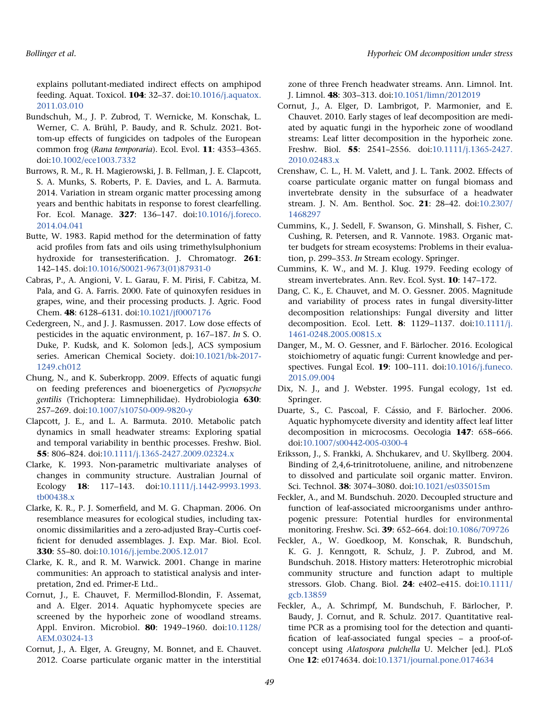explains pollutant-mediated indirect effects on amphipod feeding. Aquat. Toxicol. 104: 32–37. doi[:10.1016/j.aquatox.](https://doi.org/10.1016/j.aquatox.2011.03.010) [2011.03.010](https://doi.org/10.1016/j.aquatox.2011.03.010)

- Bundschuh, M., J. P. Zubrod, T. Wernicke, M. Konschak, L. Werner, C. A. Brühl, P. Baudy, and R. Schulz. 2021. Bottom-up effects of fungicides on tadpoles of the European common frog (Rana temporaria). Ecol. Evol. 11: 4353–4365. doi[:10.1002/ece1003.7332](https://doi.org/10.1002/ece1003.7332)
- Burrows, R. M., R. H. Magierowski, J. B. Fellman, J. E. Clapcott, S. A. Munks, S. Roberts, P. E. Davies, and L. A. Barmuta. 2014. Variation in stream organic matter processing among years and benthic habitats in response to forest clearfelling. For. Ecol. Manage. 327: 136–147. doi[:10.1016/j.foreco.](https://doi.org/10.1016/j.foreco.2014.04.041) [2014.04.041](https://doi.org/10.1016/j.foreco.2014.04.041)
- Butte, W. 1983. Rapid method for the determination of fatty acid profiles from fats and oils using trimethylsulphonium hydroxide for transesterification. J. Chromatogr. 261: 142–145. doi[:10.1016/S0021-9673\(01\)87931-0](https://doi.org/10.1016/S0021-9673(01)87931-0)
- Cabras, P., A. Angioni, V. L. Garau, F. M. Pirisi, F. Cabitza, M. Pala, and G. A. Farris. 2000. Fate of quinoxyfen residues in grapes, wine, and their processing products. J. Agric. Food Chem. 48: 6128–6131. doi[:10.1021/jf0007176](https://doi.org/10.1021/jf0007176)
- Cedergreen, N., and J. J. Rasmussen. 2017. Low dose effects of pesticides in the aquatic environment, p. 167–187. In S. O. Duke, P. Kudsk, and K. Solomon [eds.], ACS symposium series. American Chemical Society. doi[:10.1021/bk-2017-](https://doi.org/10.1021/bk-2017-1249.ch012) [1249.ch012](https://doi.org/10.1021/bk-2017-1249.ch012)
- Chung, N., and K. Suberkropp. 2009. Effects of aquatic fungi on feeding preferences and bioenergetics of Pycnopsyche gentilis (Trichoptera: Limnephilidae). Hydrobiologia 630: 257–269. doi[:10.1007/s10750-009-9820-y](https://doi.org/10.1007/s10750-009-9820-y)
- Clapcott, J. E., and L. A. Barmuta. 2010. Metabolic patch dynamics in small headwater streams: Exploring spatial and temporal variability in benthic processes. Freshw. Biol. 55: 806–824. doi[:10.1111/j.1365-2427.2009.02324.x](https://doi.org/10.1111/j.1365-2427.2009.02324.x)
- Clarke, K. 1993. Non-parametric multivariate analyses of changes in community structure. Australian Journal of Ecology 18: 117–143. doi:[10.1111/j.1442-9993.1993.](https://doi.org/10.1111/j.1442-9993.1993.tb00438.x) [tb00438.x](https://doi.org/10.1111/j.1442-9993.1993.tb00438.x)
- Clarke, K. R., P. J. Somerfield, and M. G. Chapman. 2006. On resemblance measures for ecological studies, including taxonomic dissimilarities and a zero-adjusted Bray–Curtis coefficient for denuded assemblages. J. Exp. Mar. Biol. Ecol. 330: 55–80. doi:[10.1016/j.jembe.2005.12.017](https://doi.org/10.1016/j.jembe.2005.12.017)
- Clarke, K. R., and R. M. Warwick. 2001. Change in marine communities: An approach to statistical analysis and interpretation, 2nd ed. Primer-E Ltd..
- Cornut, J., E. Chauvet, F. Mermillod-Blondin, F. Assemat, and A. Elger. 2014. Aquatic hyphomycete species are screened by the hyporheic zone of woodland streams. Appl. Environ. Microbiol. 80: 1949–1960. doi[:10.1128/](https://doi.org/10.1128/AEM.03024-13) [AEM.03024-13](https://doi.org/10.1128/AEM.03024-13)
- Cornut, J., A. Elger, A. Greugny, M. Bonnet, and E. Chauvet. 2012. Coarse particulate organic matter in the interstitial

zone of three French headwater streams. Ann. Limnol. Int. J. Limnol. 48: 303–313. doi:[10.1051/limn/2012019](https://doi.org/10.1051/limn/2012019)

- Cornut, J., A. Elger, D. Lambrigot, P. Marmonier, and E. Chauvet. 2010. Early stages of leaf decomposition are mediated by aquatic fungi in the hyporheic zone of woodland streams: Leaf litter decomposition in the hyporheic zone. Freshw. Biol. 55: 2541–2556. doi:[10.1111/j.1365-2427.](https://doi.org/10.1111/j.1365-2427.2010.02483.x) [2010.02483.x](https://doi.org/10.1111/j.1365-2427.2010.02483.x)
- Crenshaw, C. L., H. M. Valett, and J. L. Tank. 2002. Effects of coarse particulate organic matter on fungal biomass and invertebrate density in the subsurface of a headwater stream. J. N. Am. Benthol. Soc. 21: 28–42. doi:[10.2307/](https://doi.org/10.2307/1468297) [1468297](https://doi.org/10.2307/1468297)
- Cummins, K., J. Sedell, F. Swanson, G. Minshall, S. Fisher, C. Cushing, R. Petersen, and R. Vannote. 1983. Organic matter budgets for stream ecosystems: Problems in their evaluation, p. 299–353. In Stream ecology. Springer.
- Cummins, K. W., and M. J. Klug. 1979. Feeding ecology of stream invertebrates. Ann. Rev. Ecol. Syst. 10: 147–172.
- Dang, C. K., E. Chauvet, and M. O. Gessner. 2005. Magnitude and variability of process rates in fungal diversity-litter decomposition relationships: Fungal diversity and litter decomposition. Ecol. Lett. 8: 1129–1137. doi[:10.1111/j.](https://doi.org/10.1111/j.1461-0248.2005.00815.x) [1461-0248.2005.00815.x](https://doi.org/10.1111/j.1461-0248.2005.00815.x)
- Danger, M., M. O. Gessner, and F. Bärlocher. 2016. Ecological stoichiometry of aquatic fungi: Current knowledge and perspectives. Fungal Ecol. 19: 100–111. doi[:10.1016/j.funeco.](https://doi.org/10.1016/j.funeco.2015.09.004) [2015.09.004](https://doi.org/10.1016/j.funeco.2015.09.004)
- Dix, N. J., and J. Webster. 1995. Fungal ecology, 1st ed. Springer.
- Duarte, S., C. Pascoal, F. Cássio, and F. Bärlocher. 2006. Aquatic hyphomycete diversity and identity affect leaf litter decomposition in microcosms. Oecologia 147: 658–666. doi[:10.1007/s00442-005-0300-4](https://doi.org/10.1007/s00442-005-0300-4)
- Eriksson, J., S. Frankki, A. Shchukarev, and U. Skyllberg. 2004. Binding of 2,4,6-trinitrotoluene, aniline, and nitrobenzene to dissolved and particulate soil organic matter. Environ. Sci. Technol. 38: 3074–3080. doi[:10.1021/es035015m](https://doi.org/10.1021/es035015m)
- Feckler, A., and M. Bundschuh. 2020. Decoupled structure and function of leaf-associated microorganisms under anthropogenic pressure: Potential hurdles for environmental monitoring. Freshw. Sci. 39: 652–664. doi:[10.1086/709726](https://doi.org/10.1086/709726)
- Feckler, A., W. Goedkoop, M. Konschak, R. Bundschuh, K. G. J. Kenngott, R. Schulz, J. P. Zubrod, and M. Bundschuh. 2018. History matters: Heterotrophic microbial community structure and function adapt to multiple stressors. Glob. Chang. Biol. 24: e402–e415. doi:[10.1111/](https://doi.org/10.1111/gcb.13859) [gcb.13859](https://doi.org/10.1111/gcb.13859)
- Feckler, A., A. Schrimpf, M. Bundschuh, F. Bärlocher, P. Baudy, J. Cornut, and R. Schulz. 2017. Quantitative realtime PCR as a promising tool for the detection and quantification of leaf-associated fungal species – a proof-ofconcept using Alatospora pulchella U. Melcher [ed.]. PLoS One 12: e0174634. doi:[10.1371/journal.pone.0174634](https://doi.org/10.1371/journal.pone.0174634)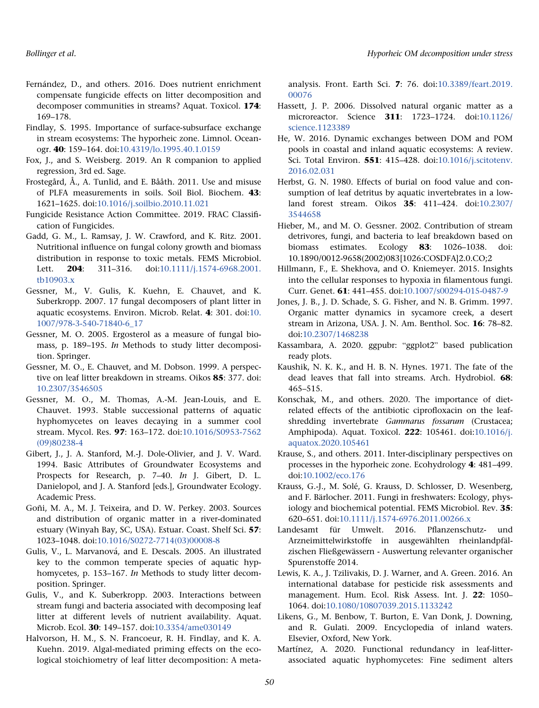- Fern-andez, D., and others. 2016. Does nutrient enrichment compensate fungicide effects on litter decomposition and decomposer communities in streams? Aquat. Toxicol. 174: 169–178.
- Findlay, S. 1995. Importance of surface-subsurface exchange in stream ecosystems: The hyporheic zone. Limnol. Oceanogr. 40: 159–164. doi:[10.4319/lo.1995.40.1.0159](https://doi.org/10.4319/lo.1995.40.1.0159)
- Fox, J., and S. Weisberg. 2019. An R companion to applied regression, 3rd ed. Sage.
- Frostegård, Å., A. Tunlid, and E. Bååth. 2011. Use and misuse of PLFA measurements in soils. Soil Biol. Biochem. 43: 1621–1625. doi[:10.1016/j.soilbio.2010.11.021](https://doi.org/10.1016/j.soilbio.2010.11.021)
- Fungicide Resistance Action Committee. 2019. FRAC Classification of Fungicides.
- Gadd, G. M., L. Ramsay, J. W. Crawford, and K. Ritz. 2001. Nutritional influence on fungal colony growth and biomass distribution in response to toxic metals. FEMS Microbiol. Lett. **204**: 311-316. doi:[10.1111/j.1574-6968.2001.](https://doi.org/10.1111/j.1574-6968.2001.tb10903.x) [tb10903.x](https://doi.org/10.1111/j.1574-6968.2001.tb10903.x)
- Gessner, M., V. Gulis, K. Kuehn, E. Chauvet, and K. Suberkropp. 2007. 17 fungal decomposers of plant litter in aquatic ecosystems. Environ. Microb. Relat. 4: 301. doi:[10.](https://doi.org/10.1007/978-3-540-71840-6_17) [1007/978-3-540-71840-6\\_17](https://doi.org/10.1007/978-3-540-71840-6_17)
- Gessner, M. O. 2005. Ergosterol as a measure of fungal biomass, p. 189–195. In Methods to study litter decomposition. Springer.
- Gessner, M. O., E. Chauvet, and M. Dobson. 1999. A perspective on leaf litter breakdown in streams. Oikos 85: 377. doi: [10.2307/3546505](https://doi.org/10.2307/3546505)
- Gessner, M. O., M. Thomas, A.-M. Jean-Louis, and E. Chauvet. 1993. Stable successional patterns of aquatic hyphomycetes on leaves decaying in a summer cool stream. Mycol. Res. 97: 163–172. doi:[10.1016/S0953-7562](https://doi.org/10.1016/S0953-7562(09)80238-4) [\(09\)80238-4](https://doi.org/10.1016/S0953-7562(09)80238-4)
- Gibert, J., J. A. Stanford, M.-J. Dole-Olivier, and J. V. Ward. 1994. Basic Attributes of Groundwater Ecosystems and Prospects for Research, p. 7–40. In J. Gibert, D. L. Danielopol, and J. A. Stanford [eds.], Groundwater Ecology. Academic Press.
- Goñi, M. A., M. J. Teixeira, and D. W. Perkey. 2003. Sources and distribution of organic matter in a river-dominated estuary (Winyah Bay, SC, USA). Estuar. Coast. Shelf Sci. 57: 1023–1048. doi[:10.1016/S0272-7714\(03\)00008-8](https://doi.org/10.1016/S0272-7714(03)00008-8)
- Gulis, V., L. Marvanová, and E. Descals. 2005. An illustrated key to the common temperate species of aquatic hyphomycetes, p. 153–167. In Methods to study litter decomposition. Springer.
- Gulis, V., and K. Suberkropp. 2003. Interactions between stream fungi and bacteria associated with decomposing leaf litter at different levels of nutrient availability. Aquat. Microb. Ecol. 30: 149–157. doi:[10.3354/ame030149](https://doi.org/10.3354/ame030149)
- Halvorson, H. M., S. N. Francoeur, R. H. Findlay, and K. A. Kuehn. 2019. Algal-mediated priming effects on the ecological stoichiometry of leaf litter decomposition: A meta-

analysis. Front. Earth Sci. 7: 76. doi:[10.3389/feart.2019.](https://doi.org/10.3389/feart.2019.00076) [00076](https://doi.org/10.3389/feart.2019.00076)

- Hassett, J. P. 2006. Dissolved natural organic matter as a microreactor. Science 311: 1723–1724. doi:[10.1126/](https://doi.org/10.1126/science.1123389) [science.1123389](https://doi.org/10.1126/science.1123389)
- He, W. 2016. Dynamic exchanges between DOM and POM pools in coastal and inland aquatic ecosystems: A review. Sci. Total Environ. 551: 415–428. doi[:10.1016/j.scitotenv.](https://doi.org/10.1016/j.scitotenv.2016.02.031) [2016.02.031](https://doi.org/10.1016/j.scitotenv.2016.02.031)
- Herbst, G. N. 1980. Effects of burial on food value and consumption of leaf detritus by aquatic invertebrates in a lowland forest stream. Oikos 35: 411–424. doi:[10.2307/](https://doi.org/10.2307/3544658) [3544658](https://doi.org/10.2307/3544658)
- Hieber, M., and M. O. Gessner. 2002. Contribution of stream detrivores, fungi, and bacteria to leaf breakdown based on biomass estimates. Ecology 83: 1026–1038. doi: 10.1890/0012-9658(2002)083[1026:COSDFA]2.0.CO;2
- Hillmann, F., E. Shekhova, and O. Kniemeyer. 2015. Insights into the cellular responses to hypoxia in filamentous fungi. Curr. Genet. 61: 441–455. doi:[10.1007/s00294-015-0487-9](https://doi.org/10.1007/s00294-015-0487-9)
- Jones, J. B., J. D. Schade, S. G. Fisher, and N. B. Grimm. 1997. Organic matter dynamics in sycamore creek, a desert stream in Arizona, USA. J. N. Am. Benthol. Soc. 16: 78–82. doi[:10.2307/1468238](https://doi.org/10.2307/1468238)
- Kassambara, A. 2020. ggpubr: "ggplot2" based publication ready plots.
- Kaushik, N. K. K., and H. B. N. Hynes. 1971. The fate of the dead leaves that fall into streams. Arch. Hydrobiol. 68: 465–515.
- Konschak, M., and others. 2020. The importance of dietrelated effects of the antibiotic ciprofloxacin on the leafshredding invertebrate Gammarus fossarum (Crustacea; Amphipoda). Aquat. Toxicol. 222: 105461. doi[:10.1016/j.](https://doi.org/10.1016/j.aquatox.2020.105461) [aquatox.2020.105461](https://doi.org/10.1016/j.aquatox.2020.105461)
- Krause, S., and others. 2011. Inter-disciplinary perspectives on processes in the hyporheic zone. Ecohydrology 4: 481–499. doi[:10.1002/eco.176](https://doi.org/10.1002/eco.176)
- Krauss, G.-J., M. Solé, G. Krauss, D. Schlosser, D. Wesenberg, and F. Bärlocher. 2011. Fungi in freshwaters: Ecology, physiology and biochemical potential. FEMS Microbiol. Rev. 35: 620–651. doi:[10.1111/j.1574-6976.2011.00266.x](https://doi.org/10.1111/j.1574-6976.2011.00266.x)
- Landesamt für Umwelt. 2016. Pflanzenschutz- und Arzneimittelwirkstoffe in ausgewählten rheinlandpfälzischen Fließgewässern - Auswertung relevanter organischer Spurenstoffe 2014.
- Lewis, K. A., J. Tzilivakis, D. J. Warner, and A. Green. 2016. An international database for pesticide risk assessments and management. Hum. Ecol. Risk Assess. Int. J. 22: 1050– 1064. doi[:10.1080/10807039.2015.1133242](https://doi.org/10.1080/10807039.2015.1133242)
- Likens, G., M. Benbow, T. Burton, E. Van Donk, J. Downing, and R. Gulati. 2009. Encyclopedia of inland waters. Elsevier, Oxford, New York.
- Martínez, A. 2020. Functional redundancy in leaf-litterassociated aquatic hyphomycetes: Fine sediment alters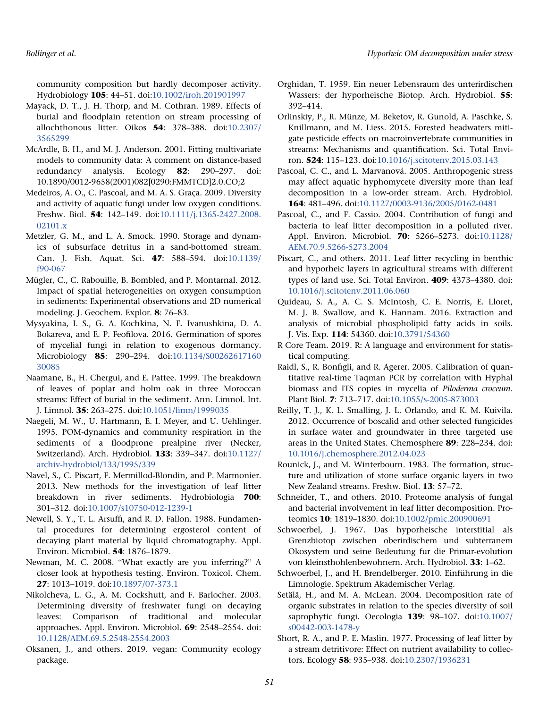community composition but hardly decomposer activity. Hydrobiology 105: 44–51. doi[:10.1002/iroh.201901997](https://doi.org/10.1002/iroh.201901997)

- Mayack, D. T., J. H. Thorp, and M. Cothran. 1989. Effects of burial and floodplain retention on stream processing of allochthonous litter. Oikos 54: 378–388. doi:[10.2307/](https://doi.org/10.2307/3565299) [3565299](https://doi.org/10.2307/3565299)
- McArdle, B. H., and M. J. Anderson. 2001. Fitting multivariate models to community data: A comment on distance-based redundancy analysis. Ecology 82: 290–297. doi: 10.1890/0012-9658(2001)082[0290:FMMTCD]2.0.CO;2
- Medeiros, A. O., C. Pascoal, and M. A. S. Graça. 2009. Diversity and activity of aquatic fungi under low oxygen conditions. Freshw. Biol. 54: 142–149. doi:[10.1111/j.1365-2427.2008.](https://doi.org/10.1111/j.1365-2427.2008.02101.x) [02101.x](https://doi.org/10.1111/j.1365-2427.2008.02101.x)
- Metzler, G. M., and L. A. Smock. 1990. Storage and dynamics of subsurface detritus in a sand-bottomed stream. Can. J. Fish. Aquat. Sci. 47: 588–594. doi:[10.1139/](https://doi.org/10.1139/f90-067) [f90-067](https://doi.org/10.1139/f90-067)
- Mügler, C., C. Rabouille, B. Bombled, and P. Montarnal. 2012. Impact of spatial heterogeneities on oxygen consumption in sediments: Experimental observations and 2D numerical modeling. J. Geochem. Explor. 8: 76–83.
- Mysyakina, I. S., G. A. Kochkina, N. E. Ivanushkina, D. A. Bokareva, and E. P. Feofilova. 2016. Germination of spores of mycelial fungi in relation to exogenous dormancy. Microbiology **85**: 290–294. doi:[10.1134/S00262617160](https://doi.org/10.1134/S0026261716030085) [30085](https://doi.org/10.1134/S0026261716030085)
- Naamane, B., H. Chergui, and E. Pattee. 1999. The breakdown of leaves of poplar and holm oak in three Moroccan streams: Effect of burial in the sediment. Ann. Limnol. Int. J. Limnol. 35: 263–275. doi:[10.1051/limn/1999035](https://doi.org/10.1051/limn/1999035)
- Naegeli, M. W., U. Hartmann, E. I. Meyer, and U. Uehlinger. 1995. POM-dynamics and community respiration in the sediments of a floodprone prealpine river (Necker, Switzerland). Arch. Hydrobiol. 133: 339–347. doi:[10.1127/](https://doi.org/10.1127/archiv-hydrobiol/133/1995/339) [archiv-hydrobiol/133/1995/339](https://doi.org/10.1127/archiv-hydrobiol/133/1995/339)
- Navel, S., C. Piscart, F. Mermillod-Blondin, and P. Marmonier. 2013. New methods for the investigation of leaf litter breakdown in river sediments. Hydrobiologia 700: 301–312. doi[:10.1007/s10750-012-1239-1](https://doi.org/10.1007/s10750-012-1239-1)
- Newell, S. Y., T. L. Arsuffi, and R. D. Fallon. 1988. Fundamental procedures for determining ergosterol content of decaying plant material by liquid chromatography. Appl. Environ. Microbiol. 54: 1876–1879.
- Newman, M. C. 2008. "What exactly are you inferring?" A closer look at hypothesis testing. Environ. Toxicol. Chem. 27: 1013–1019. doi:[10.1897/07-373.1](https://doi.org/10.1897/07-373.1)
- Nikolcheva, L. G., A. M. Cockshutt, and F. Barlocher. 2003. Determining diversity of freshwater fungi on decaying leaves: Comparison of traditional and molecular approaches. Appl. Environ. Microbiol. 69: 2548–2554. doi: [10.1128/AEM.69.5.2548-2554.2003](https://doi.org/10.1128/AEM.69.5.2548-2554.2003)
- Oksanen, J., and others. 2019. vegan: Community ecology package.
- Orghidan, T. 1959. Ein neuer Lebensraum des unterirdischen Wassers: der hyporheische Biotop. Arch. Hydrobiol. 55: 392–414.
- Orlinskiy, P., R. Münze, M. Beketov, R. Gunold, A. Paschke, S. Knillmann, and M. Liess. 2015. Forested headwaters mitigate pesticide effects on macroinvertebrate communities in streams: Mechanisms and quantification. Sci. Total Environ. 524: 115–123. doi:[10.1016/j.scitotenv.2015.03.143](https://doi.org/10.1016/j.scitotenv.2015.03.143)
- Pascoal, C. C., and L. Marvanová. 2005. Anthropogenic stress may affect aquatic hyphomycete diversity more than leaf decomposition in a low-order stream. Arch. Hydrobiol. 164: 481–496. doi:[10.1127/0003-9136/2005/0162-0481](https://doi.org/10.1127/0003-9136/2005/0162-0481)
- Pascoal, C., and F. Cassio. 2004. Contribution of fungi and bacteria to leaf litter decomposition in a polluted river. Appl. Environ. Microbiol. 70: 5266–5273. doi:[10.1128/](https://doi.org/10.1128/AEM.70.9.5266-5273.2004) [AEM.70.9.5266-5273.2004](https://doi.org/10.1128/AEM.70.9.5266-5273.2004)
- Piscart, C., and others. 2011. Leaf litter recycling in benthic and hyporheic layers in agricultural streams with different types of land use. Sci. Total Environ. 409: 4373–4380. doi: [10.1016/j.scitotenv.2011.06.060](https://doi.org/10.1016/j.scitotenv.2011.06.060)
- Quideau, S. A., A. C. S. McIntosh, C. E. Norris, E. Lloret, M. J. B. Swallow, and K. Hannam. 2016. Extraction and analysis of microbial phospholipid fatty acids in soils. J. Vis. Exp. 114: 54360. doi[:10.3791/54360](https://doi.org/10.3791/54360)
- R Core Team. 2019. R: A language and environment for statistical computing.
- Raidl, S., R. Bonfigli, and R. Agerer. 2005. Calibration of quantitative real-time Taqman PCR by correlation with Hyphal biomass and ITS copies in mycelia of Piloderma croceum. Plant Biol. 7: 713–717. doi[:10.1055/s-2005-873003](https://doi.org/10.1055/s-2005-873003)
- Reilly, T. J., K. L. Smalling, J. L. Orlando, and K. M. Kuivila. 2012. Occurrence of boscalid and other selected fungicides in surface water and groundwater in three targeted use areas in the United States. Chemosphere 89: 228–234. doi: [10.1016/j.chemosphere.2012.04.023](https://doi.org/10.1016/j.chemosphere.2012.04.023)
- Rounick, J., and M. Winterbourn. 1983. The formation, structure and utilization of stone surface organic layers in two New Zealand streams. Freshw. Biol. 13: 57–72.
- Schneider, T., and others. 2010. Proteome analysis of fungal and bacterial involvement in leaf litter decomposition. Proteomics 10: 1819–1830. doi[:10.1002/pmic.200900691](https://doi.org/10.1002/pmic.200900691)
- Schwoerbel, J. 1967. Das hyporheische interstitial als Grenzbiotop zwischen oberirdischem und subterranem Okosystem und seine Bedeutung fur die Primar-evolution von kleinsthohlenbewohnern. Arch. Hydrobiol. 33: 1–62.
- Schwoerbel, J., and H. Brendelberger. 2010. Einführung in die Limnologie. Spektrum Akademischer Verlag.
- Setälä, H., and M. A. McLean. 2004. Decomposition rate of organic substrates in relation to the species diversity of soil saprophytic fungi. Oecologia 139: 98–107. doi:[10.1007/](https://doi.org/10.1007/s00442-003-1478-y) [s00442-003-1478-y](https://doi.org/10.1007/s00442-003-1478-y)
- Short, R. A., and P. E. Maslin. 1977. Processing of leaf litter by a stream detritivore: Effect on nutrient availability to collectors. Ecology 58: 935–938. doi[:10.2307/1936231](https://doi.org/10.2307/1936231)